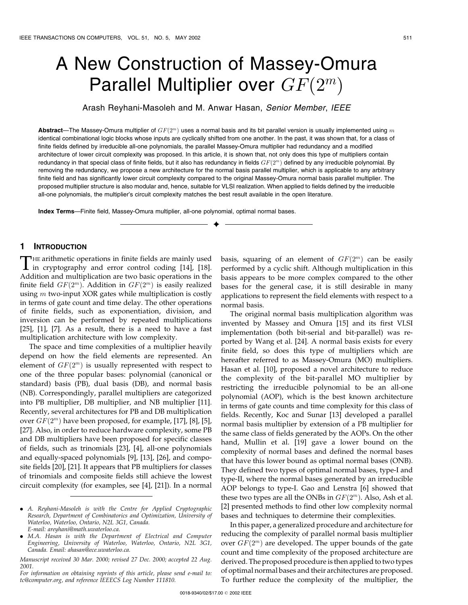# A New Construction of Massey-Omura Parallel Multiplier over  $GF(2^m)$

Arash Reyhani-Masoleh and M. Anwar Hasan, Senior Member, IEEE

Abstract—The Massey-Omura multiplier of  $GF(2^m)$  uses a normal basis and its bit parallel version is usually implemented using m identical combinational logic blocks whose inputs are cyclically shifted from one another. In the past, it was shown that, for a class of finite fields defined by irreducible all-one polynomials, the parallel Massey-Omura multiplier had redundancy and a modified architecture of lower circuit complexity was proposed. In this article, it is shown that, not only does this type of multipliers contain redundancy in that special class of finite fields, but it also has redundancy in fields  $GF(2<sup>m</sup>)$  defined by any irreducible polynomial. By removing the redundancy, we propose a new architecture for the normal basis parallel multiplier, which is applicable to any arbitrary finite field and has significantly lower circuit complexity compared to the original Massey-Omura normal basis parallel multiplier. The proposed multiplier structure is also modular and, hence, suitable for VLSI realization. When applied to fields defined by the irreducible all-one polynomials, the multiplier's circuit complexity matches the best result available in the open literature.

æ

Index Terms—Finite field, Massey-Omura multiplier, all-one polynomial, optimal normal bases.

## 1 INTRODUCTION

THE arithmetic operations in finite fields are mainly used<br>in cryptography and error control coding [14], [18]. Addition and multiplication are two basic operations in the finite field  $GF(2^m)$ . Addition in  $GF(2^m)$  is easily realized using  $m$  two-input XOR gates while multiplication is costly in terms of gate count and time delay. The other operations of finite fields, such as exponentiation, division, and inversion can be performed by repeated multiplications  $[25]$ ,  $[1]$ ,  $[7]$ . As a result, there is a need to have a fast multiplication architecture with low complexity.

The space and time complexities of a multiplier heavily depend on how the field elements are represented. An element of  $GF(2<sup>m</sup>)$  is usually represented with respect to one of the three popular bases: polynomial (canonical or standard) basis (PB), dual basis (DB), and normal basis (NB). Correspondingly, parallel multipliers are categorized into PB multiplier, DB multiplier, and NB multiplier [11]. Recently, several architectures for PB and DB multiplication over  $GF(2<sup>m</sup>)$  have been proposed, for example, [17], [8], [5], [27]. Also, in order to reduce hardware complexity, some PB and DB multipliers have been proposed for specific classes of fields, such as trinomials [23], [4], all-one polynomials and equally-spaced polynomials [9], [13], [26], and composite fields [20], [21]. It appears that PB multipliers for classes of trinomials and composite fields still achieve the lowest circuit complexity (for examples, see [4], [21]). In a normal

basis, squaring of an element of  $GF(2<sup>m</sup>)$  can be easily performed by a cyclic shift. Although multiplication in this basis appears to be more complex compared to the other bases for the general case, it is still desirable in many applications to represent the field elements with respect to a normal basis.

The original normal basis multiplication algorithm was invented by Massey and Omura [15] and its first VLSI implementation (both bit-serial and bit-parallel) was reported by Wang et al. [24]. A normal basis exists for every finite field, so does this type of multipliers which are hereafter referred to as Massey-Omura (MO) multipliers. Hasan et al. [10], proposed a novel architecture to reduce the complexity of the bit-parallel MO multiplier by restricting the irreducible polynomial to be an all-one polynomial (AOP), which is the best known architecture in terms of gate counts and time complexity for this class of fields. Recently, Koc and Sunar [13] developed a parallel normal basis multiplier by extension of a PB multiplier for the same class of fields generated by the AOPs. On the other hand, Mullin et al. [19] gave a lower bound on the complexity of normal bases and defined the normal bases that have this lower bound as optimal normal bases (ONB). They defined two types of optimal normal bases, type-I and type-II, where the normal bases generated by an irreducible AOP belongs to type-I. Gao and Lenstra [6] showed that these two types are all the ONBs in  $GF(2<sup>m</sup>)$ . Also, Ash et al. [2] presented methods to find other low complexity normal bases and techniques to determine their complexities.

In this paper, a generalized procedure and architecture for reducing the complexity of parallel normal basis multiplier over  $GF(2^m)$  are developed. The upper bounds of the gate count and time complexity of the proposed architecture are derived. The proposed procedure is then applied to two types of optimal normal bases and their architectures are proposed. To further reduce the complexity of the multiplier, the

<sup>.</sup> A. Reyhani-Masoleh is with the Centre for Applied Cryptographic Research, Department of Combinatorics and Optimization, University of Waterloo, Waterloo, Ontario, N2L 3G1, Canada. E-mail: areyhani@math.uwaterloo.ca.

<sup>.</sup> M.A. Hasan is with the Department of Electrical and Computer Engineering, University of Waterloo, Waterloo, Ontario, N2L 3G1, Canada. Email: ahasan@ece.uwaterloo.ca.

Manuscript received 30 Mar. 2000; revised 27 Dec. 2000; accepted 22 Aug. 2001.

For information on obtaining reprints of this article, please send e-mail to: tc@computer.org, and reference IEEECS Log Number 111810.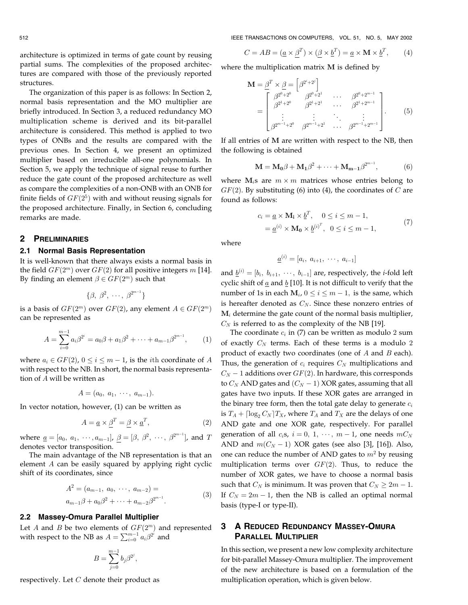512 IEEE TRANSACTIONS ON COMPUTERS, VOL. 51, NO. 5, MAY 2002

architecture is optimized in terms of gate count by reusing partial sums. The complexities of the proposed architectures are compared with those of the previously reported structures.

The organization of this paper is as follows: In Section 2, normal basis representation and the MO multiplier are briefly introduced. In Section 3, a reduced redundancy MO multiplication scheme is derived and its bit-parallel architecture is considered. This method is applied to two types of ONBs and the results are compared with the previous ones. In Section 4, we present an optimized multiplier based on irreducible all-one polynomials. In Section 5, we apply the technique of signal reuse to further reduce the gate count of the proposed architecture as well as compare the complexities of a non-ONB with an ONB for finite fields of  $GF(2^5)$  with and without reusing signals for the proposed architecture. Finally, in Section 6, concluding remarks are made.

# 2 PRELIMINARIES

## 2.1 Normal Basis Representation

It is well-known that there always exists a normal basis in the field  $GF(2<sup>m</sup>)$  over  $GF(2)$  for all positive integers m [14]. By finding an element  $\beta \in GF(2^m)$  such that

$$
\{\beta, \beta^2, \cdots, \beta^{2^{m-1}}\}
$$

is a basis of  $GF(2^m)$  over  $GF(2)$ , any element  $A \in GF(2^m)$ can be represented as

$$
A = \sum_{i=0}^{m-1} a_i \beta^{2^i} = a_0 \beta + a_1 \beta^2 + \dots + a_{m-1} \beta^{2^{m-1}}, \qquad (1)
$$

where  $a_i \in GF(2)$ ,  $0 \le i \le m - 1$ , is the *i*th coordinate of A with respect to the NB. In short, the normal basis representation of A will be written as

$$
A=(a_0, a_1, \cdots, a_{m-1}).
$$

In vector notation, however, (1) can be written as

$$
A = \underline{a} \times \underline{\beta}^T = \underline{\beta} \times \underline{a}^T,\tag{2}
$$

where  $\underline{a} = [a_0, a_1, \cdots, a_{m-1}], \ \beta = [\beta, \ \beta^2, \ \cdots, \ \beta^{2^{m-1}}]$ , and T denotes vector transposition.

The main advantage of the NB representation is that an element A can be easily squared by applying right cyclic shift of its coordinates, since

$$
A^{2} = (a_{m-1}, a_{0}, \cdots, a_{m-2}) =
$$
  
\n
$$
a_{m-1}\beta + a_{0}\beta^{2} + \cdots + a_{m-2}\beta^{2^{m-1}}.
$$
\n(3)

### 2.2 Massey-Omura Parallel Multiplier

Let A and B be two elements of  $GF(2<sup>m</sup>)$  and represented with respect to the NB as  $A = \sum_{i=0}^{m-1} a_i \beta^{2^i}$  and

$$
B=\sum_{j=0}^{m-1}b_j\beta^{2^j},
$$

respectively. Let  $C$  denote their product as

$$
C = AB = (\underline{a} \times \underline{\beta}^T) \times (\underline{\beta} \times \underline{b}^T) = \underline{a} \times \mathbf{M} \times \underline{b}^T,
$$
 (4)

where the multiplication matrix M is defined by

$$
\mathbf{M} = \underline{\beta}^{T} \times \underline{\beta} = \begin{bmatrix} \beta^{2^{i}+2^{j}} \\ \beta^{2^{0}+2^{0}} & \beta^{2^{0}+2^{1}} \\ \beta^{2^{1}+2^{0}} & \beta^{2^{1}+2^{1}} \\ \vdots & \vdots & \ddots \\ \beta^{2^{m-1}+2^{0}} & \beta^{2^{m-1}+2^{1}} \end{bmatrix} .
$$
\n(5)

If all entries of M are written with respect to the NB, then the following is obtained

$$
\mathbf{M} = \mathbf{M_0}\beta + \mathbf{M_1}\beta^2 + \dots + \mathbf{M_{m-1}}\beta^{2^{m-1}},
$$
 (6)

where  $\mathbf{M}_i$ s are  $m \times m$  matrices whose entries belong to  $GF(2)$ . By substituting (6) into (4), the coordinates of C are found as follows:

$$
c_i = \underline{a} \times \mathbf{M_i} \times \underline{b}^T, \quad 0 \le i \le m - 1,
$$
  
= 
$$
\underline{a}^{(i)} \times \mathbf{M_0} \times \underline{b}^{(i)^T}, \quad 0 \le i \le m - 1,
$$
 (7)

where

$$
\underline{a}^{(i)} = [a_i, a_{i+1}, \cdots, a_{i-1}]
$$

and  $\underline{b}^{(i)} = [b_i, b_{i+1}, \cdots, b_{i-1}]$  are, respectively, the *i*-fold left cyclic shift of  $\underline{a}$  and  $\underline{b}$  [10]. It is not difficult to verify that the number of 1s in each  $M_i$ ,  $0 \le i \le m - 1$ , is the same, which is hereafter denoted as  $C_N$ . Since these nonzero entries of  $M_i$  determine the gate count of the normal basis multiplier,  $C_N$  is referred to as the complexity of the NB [19].

The coordinate  $c_i$  in (7) can be written as modulo 2 sum of exactly  $C_N$  terms. Each of these terms is a modulo 2 product of exactly two coordinates (one of  $A$  and  $B$  each). Thus, the generation of  $c_i$  requires  $C_N$  multiplications and  $C_N - 1$  additions over  $GF(2)$ . In hardware, this corresponds to  $C_N$  AND gates and  $(C_N - 1)$  XOR gates, assuming that all gates have two inputs. If these XOR gates are arranged in the binary tree form, then the total gate delay to generate  $c_i$ is  $T_A + \lceil \log_2 C_N \rceil T_X$ , where  $T_A$  and  $T_X$  are the delays of one AND gate and one XOR gate, respectively. For parallel generation of all  $c_i$ s,  $i = 0, 1, \dots, m - 1$ , one needs  $mC_N$ AND and  $m(C_N - 1)$  XOR gates (see also [3], [16]). Also, one can reduce the number of AND gates to  $m<sup>2</sup>$  by reusing multiplication terms over  $GF(2)$ . Thus, to reduce the number of XOR gates, we have to choose a normal basis such that  $C_N$  is minimum. It was proven that  $C_N \geq 2m - 1$ . If  $C_N = 2m - 1$ , then the NB is called an optimal normal basis (type-I or type-II).

# 3 A REDUCED REDUNDANCY MASSEY-OMURA PARALLEL MULTIPLIER

In this section, we present a new low complexity architecture for bit-parallel Massey-Omura multiplier. The improvement of the new architecture is based on a formulation of the multiplication operation, which is given below.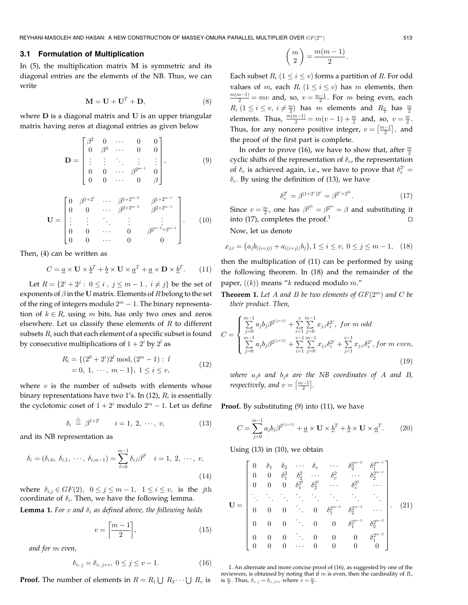## 3.1 Formulation of Multiplication

In  $(5)$ , the multiplication matrix M is symmetric and its diagonal entries are the elements of the NB. Thus, we can write

$$
\mathbf{M} = \mathbf{U} + \mathbf{U}^T + \mathbf{D},\tag{8}
$$

where **D** is a diagonal matrix and **U** is an upper triangular matrix having zeros at diagonal entries as given below

$$
\mathbf{D} = \begin{bmatrix} \beta^2 & 0 & \cdots & 0 & 0 \\ 0 & \beta^4 & \cdots & 0 & 0 \\ \vdots & \vdots & \ddots & \vdots & \vdots \\ 0 & 0 & \cdots & \beta^{2^{m-1}} & 0 \\ 0 & 0 & \cdots & 0 & \beta \end{bmatrix},
$$
(9)

$$
\mathbf{U} = \begin{bmatrix} 0 & \beta^{1+2^{1}} & \cdots & \beta^{1+2^{m-2}} & \beta^{1+2^{m-1}} \\ 0 & 0 & \cdots & \beta^{2+2^{m-2}} & \beta^{2+2^{m-1}} \\ \vdots & \vdots & \ddots & \vdots & \vdots \\ 0 & 0 & \cdots & 0 & \beta^{2^{m-2}+2^{m-1}} \\ 0 & 0 & \cdots & 0 & 0 \end{bmatrix} .
$$
 (10)

Then, (4) can be written as

$$
C = \underline{a} \times \mathbf{U} \times \underline{b}^T + \underline{b} \times \mathbf{U} \times \underline{a}^T + \underline{a} \times \mathbf{D} \times \underline{b}^T.
$$
 (11)

Let  $R = \{2^i + 2^j : 0 \le i, j \le m - 1, i \ne j\}$  be the set of exponents of  $\beta$  in the U matrix. Elements of R belong to the set of the ring of integers modulo  $2^m - 1$ . The binary representation of  $k \in R$ , using m bits, has only two ones and zeros elsewhere. Let us classify these elements of  $R$  to different subsets  $R_i$  such that each element of a specific subset is found by consecutive multiplications of  $1 + 2^i$  by  $2^i$  as

$$
R_i = \{ (2^0 + 2^i)2^l \mod, (2^m - 1) : l = 0, 1, \cdots, m - 1 \}, 1 \le i \le v,
$$
 (12)

where  $v$  is the number of subsets with elements whose binary representations have two 1's. In (12),  $R_i$  is essentially the cyclotomic coset of  $1 + 2<sup>i</sup>$  modulo  $2<sup>m</sup> - 1$ . Let us define

$$
\delta_i \stackrel{\triangle}{=} \beta^{1+2^i} \qquad i = 1, 2, \cdots, v,
$$
 (13)

and its NB representation as

$$
\delta_i = (\delta_{i,0}, \ \delta_{i,1}, \ \cdots, \ \delta_{i,m-1}) = \sum_{l=0}^{m-1} \delta_{i,l} \beta^{2^l} \quad i = 1, \ 2, \ \cdots, \ v,
$$
\n(14)

where  $\delta_{i,j} \in GF(2), \ \ 0 \leq j \leq m-1, \ \ 1 \leq i \leq v, \ \ \textrm{is the } \ jth$ coordinate of  $\delta_i$ . Then, we have the following lemma.

**Lemma 1.** For v and  $\delta_i$  as defined above, the following holds

$$
v = \left\lceil \frac{m-1}{2} \right\rceil,\tag{15}
$$

and for m even,

$$
\delta_{v, j} = \delta_{v, j+v}, \ 0 \le j \le v-1. \tag{16}
$$

**Proof.** The number of elements in  $R = R_1 \bigcup R_2 \cdots \bigcup R_v$  is

$$
\binom{m}{2} = \frac{m(m-1)}{2}.
$$

Each subset  $R_i$   $(1 \le i \le v)$  forms a partition of R. For odd values of m, each  $R_i$  ( $1 \le i \le v$ ) has m elements, then  $\frac{m(m-1)}{2} = mv$  and, so,  $v = \frac{m-1}{2}$ . For m being even, each  $R_i$   $(1 \leq i \leq v, i \neq \frac{m}{2})$  has m elements and  $R_{\frac{m}{2}}$  has  $\frac{m}{2}$ elements. Thus,  $\frac{m(m-1)}{2} = m(v-1) + \frac{m}{2}$  and, so,  $v = \frac{m}{2}$ . Thus, for any nonzero positive integer,  $v = \left\lceil \frac{m-1}{2} \right\rceil$ , and the proof of the first part is complete.

In order to prove (16), we have to show that, after  $\frac{m}{2}$ cyclic shifts of the representation of  $\delta_v$ , the representation of  $\delta_v$  is achieved again, i.e., we have to prove that  $\delta_v^{2^v} =$  $\delta_v$ . By using the definition of (13), we have

$$
\delta_v^{2^v} = \beta^{(1+2^v)2^v} = \beta^{2^v + 2^{2^v}}.
$$
\n(17)

Since  $v = \frac{m}{2}$ , one has  $\beta^{2^{2v}} = \beta^{2^m} = \beta$  and substituting it into  $(17)$ , completes the proof.<sup>1</sup>

Now, let us denote

$$
x_{j,i} = (a_j b_{((i+j))} + a_{((i+j))} b_j), 1 \le i \le v, \ 0 \le j \le m-1, \quad (18)
$$

then the multiplication of (11) can be performed by using the following theorem. In (18) and the remainder of the paper,  $((k))$  means "k reduced modulo m."

**Theorem 1.** Let A and B be two elements of  $GF(2^m)$  and C be their product. Then,

$$
C = \begin{cases} \sum_{j=0}^{m-1} a_j b_j \beta^{2^{((j+1))}} + \sum_{i=1}^{v} \sum_{j=0}^{m-1} x_{j,i} \delta_i^{2^j}, \text{ for } m \text{ odd} \\ \sum_{j=0}^{m-1} a_j b_j \beta^{2^{((j+1))}} + \sum_{i=1}^{v-1} \sum_{j=0}^{m-1} x_{j,i} \delta_i^{2^j} + \sum_{j=1}^{v-1} x_{j,v} \delta_v^{2^j}, \text{ for } m \text{ even}, \end{cases} (19)
$$

where  $a_j$ s and  $b_j$ s are the NB coordinates of A and B, respectively, and  $v = \left\lceil \frac{m-1}{2} \right\rceil$ .

Proof. By substituting (9) into (11), we have

$$
C = \sum_{j=0}^{m-1} a_j b_j \beta^{2^{((j+1))}} + \underline{a} \times \mathbf{U} \times \underline{b}^T + \underline{b} \times \mathbf{U} \times \underline{a}^T.
$$
 (20)

Using (13) in (10), we obtain

$$
\mathbf{U} = \begin{bmatrix} 0 & \delta_1 & \delta_2 & \cdots & \delta_v & \cdots & \delta_2^{2^{m-2}} & \delta_1^{2^{m-1}} \\ 0 & 0 & \delta_1^2 & \delta_2^2 & \cdots & \delta_v^2 & \cdots & \delta_2^{2^{m-1}} \\ 0 & 0 & 0 & \delta_1^{2^2} & \delta_2^{2^2} & \cdots & \delta_v^{2^2} & \cdots \\ \vdots & \vdots & \vdots & \vdots & \vdots & \vdots & \vdots & \vdots \\ 0 & 0 & 0 & \cdots & 0 & \delta_1^{2^{m-4}} & \delta_2^{2^{m-4}} & \cdots \\ 0 & 0 & 0 & \cdots & 0 & 0 & \delta_1^{2^{m-3}} & \delta_2^{2^{m-3}} \\ 0 & 0 & 0 & \cdots & 0 & 0 & 0 & 0 \end{bmatrix} . \quad (21)
$$

1. An alternate and more concise proof of (16), as suggested by one of the reviewers, is obtained by noting that if  $m$  is even, then the cardinality of  $R_v$ is  $\frac{m}{2}$ . Thus,  $\delta_{v, j} = \delta_{v, j+v}$  where  $v = \frac{m}{2}$ .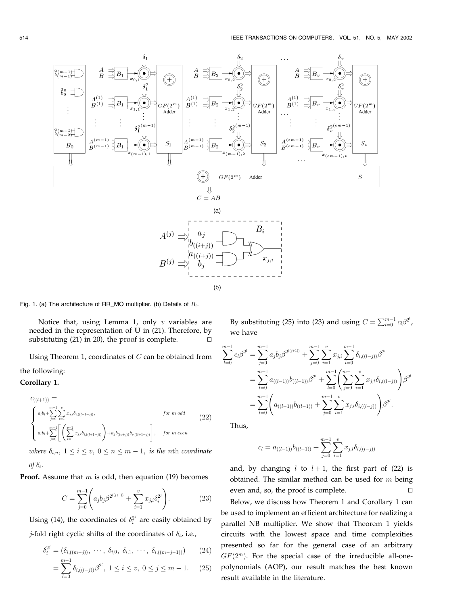

Fig. 1. (a) The architecture of RR\_MO multiplier. (b) Details of  $B_i$ .

Notice that, using Lemma 1, only  $v$  variables are needed in the representation of U in (21). Therefore, by substituting (21) in 20), the proof is complete.  $\Box$ 

Using Theorem 1, coordinates of  $C$  can be obtained from the following:

# Corollary 1.

$$
c_{((l+1))} = \n\begin{cases}\na_{l}b_{l} + \sum_{j=0}^{m-1} \sum_{i=1}^{v} x_{j,i} \delta_{i,((l+1-j))}, & \text{for } m \text{ odd} \\
a_{l}b_{l} + \sum_{j=0}^{m-1} \left[ \left( \sum_{i=1}^{v-1} x_{j,i} \delta_{i,((l+1-j))} \right) + a_{j}b_{((v+j))} \delta_{v,((l+1-j))} \right], & \text{for } m \text{ even}\n\end{cases} (22)
$$

where  $\delta_{i,n}$ ,  $1 \leq i \leq v$ ,  $0 \leq n \leq m-1$ , is the nth coordinate of  $\delta_i$ .

**Proof.** Assume that  $m$  is odd, then equation (19) becomes

$$
C = \sum_{j=0}^{m-1} \left( a_j b_j \beta^{2^{((j+1))}} + \sum_{i=1}^{v} x_{j,i} \delta_i^{2^j} \right).
$$
 (23)

Using (14), the coordinates of  $\delta_i^{2^j}$  are easily obtained by *j*-fold right cyclic shifts of the coordinates of  $\delta_i$ , i.e.,

$$
\delta_i^{2^j} = (\delta_{i,((m-j))}, \cdots, \delta_{i,0}, \delta_{i,1}, \cdots, \delta_{i,((m-j-1))})
$$
 (24)

$$
= \sum_{l=0}^{m-1} \delta_{i,((l-j))} \beta^{2^l}, \ 1 \le i \le v, \ 0 \le j \le m-1. \tag{25}
$$

By substituting (25) into (23) and using  $C = \sum_{l=0}^{m-1} c_l \beta^{2^l}$ , we have

$$
\sum_{l=0}^{m-1} c_l \beta^{2^l} = \sum_{j=0}^{m-1} a_j b_j \beta^{2^{((j+1))}} + \sum_{j=0}^{m-1} \sum_{i=1}^v x_{j,i} \sum_{l=0}^{m-1} \delta_{i,((l-j))} \beta^{2^l}
$$
  
= 
$$
\sum_{l=0}^{m-1} a_{((l-1))} b_{((l-1))} \beta^{2^l} + \sum_{l=0}^{m-1} \left( \sum_{j=0}^{m-1} \sum_{i=1}^v x_{j,i} \delta_{i,((l-j))} \right) \beta^{2^l}
$$
  
= 
$$
\sum_{l=0}^{m-1} \left( a_{((l-1))} b_{((l-1))} + \sum_{j=0}^{m-1} \sum_{i=1}^v x_{j,i} \delta_{i,((l-j))} \right) \beta^{2^l}.
$$

Thus,

$$
c_l = a_{((l-1))}b_{((l-1))} + \sum_{j=0}^{m-1} \sum_{i=1}^{v} x_{j,i} \delta_{i,((l-j))}
$$

and, by changing  $l$  to  $l + 1$ , the first part of (22) is obtained. The similar method can be used for  $m$  being even and, so, the proof is complete.  $\Box$ Below, we discuss how Theorem 1 and Corollary 1 can be used to implement an efficient architecture for realizing a parallel NB multiplier. We show that Theorem 1 yields circuits with the lowest space and time complexities presented so far for the general case of an arbitrary  $GF(2<sup>m</sup>)$ . For the special case of the irreducible all-onepolynomials (AOP), our result matches the best known result available in the literature.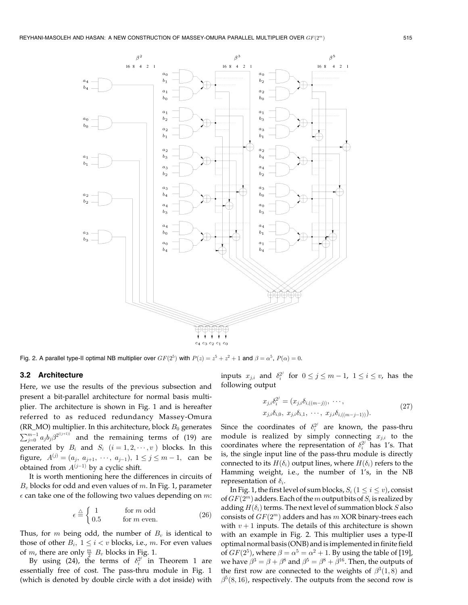

Fig. 2. A parallel type-II optimal NB multiplier over  $GF(2^5)$  with  $P(z) = z^5 + z^2 + 1$  and  $\beta = \alpha^5$ ,  $P(\alpha) = 0$ .

### 3.2 Architecture

Here, we use the results of the previous subsection and present a bit-parallel architecture for normal basis multiplier. The architecture is shown in Fig. 1 and is hereafter referred to as reduced redundancy Massey-Omura (RR\_MO) multiplier. In this architecture, block  $B_0$  generates  $\sum_{j=0}^{m-1}a_jb_j\beta^{2^{((j+1))}}$  and the remaining terms of (19) are generated by  $B_i$  and  $S_i$   $(i = 1, 2, \dots, v)$  blocks. In this figure,  $A^{(j)} = (a_j, a_{j+1}, \dots, a_{j-1}), 1 \le j \le m-1$ , can be obtained from  $A^{(j-1)}$  by a cyclic shift.

It is worth mentioning here the differences in circuits of  $B_v$  blocks for odd and even values of m. In Fig. 1, parameter  $\epsilon$  can take one of the following two values depending on m:

$$
\epsilon \stackrel{\triangle}{=} \begin{cases} 1 & \text{for } m \text{ odd} \\ 0.5 & \text{for } m \text{ even.} \end{cases} \tag{26}
$$

Thus, for m being odd, the number of  $B_v$  is identical to those of other  $B_i$ ,  $1 \leq i < v$  blocks, i.e., m. For even values of *m*, there are only  $\frac{m}{2}$   $B_v$  blocks in Fig. 1.

By using (24), the terms of  $\delta_i^{2^j}$  in Theorem 1 are essentially free of cost. The pass-thru module in Fig. 1 (which is denoted by double circle with a dot inside) with

inputs  $x_{j,i}$  and  $\delta_i^{2^j}$  for  $0 \le j \le m-1$ ,  $1 \le i \le v$ , has the following output

$$
x_{j,i}\delta_i^{2^j} = (x_{j,i}\delta_{i,((m-j))}, \cdots, x_{j,i}\delta_{i,0}, x_{j,i}\delta_{i,1}, \cdots, x_{j,i}\delta_{i,((m-j-1))}).
$$
\n(27)

Since the coordinates of  $\delta_i^{2^j}$  are known, the pass-thru module is realized by simply connecting  $x_{j,i}$  to the coordinates where the representation of  $\delta_i^{2^j}$  has 1's. That is, the single input line of the pass-thru module is directly connected to its  $H(\delta_i)$  output lines, where  $H(\delta_i)$  refers to the Hamming weight, i.e., the number of 1's, in the NB representation of  $\delta_i$ .

In Fig. 1, the first level of sum blocks,  $S_i$  ( $1 \le i \le v$ ), consist of  $GF(2^m)$  adders. Each of the m output bits of  $S_i$  is realized by adding  $H(\delta_i)$  terms. The next level of summation block S also consists of  $GF(2<sup>m</sup>)$  adders and has  $m$  XOR binary-trees each with  $v + 1$  inputs. The details of this architecture is shown with an example in Fig. 2. This multiplier uses a type-II optimal normal basis (ONB) and isimplemented in finite field of  $GF(2^5)$ , where  $\beta = \alpha^5 = \alpha^2 + 1$ . By using the table of [19], we have  $\beta^3 = \beta + \beta^8$  and  $\beta^5 = \beta^8 + \beta^{16}$ . Then, the outputs of the first row are connected to the weights of  $\beta^3(1,8)$  and  $\beta^5(8, 16)$ , respectively. The outputs from the second row is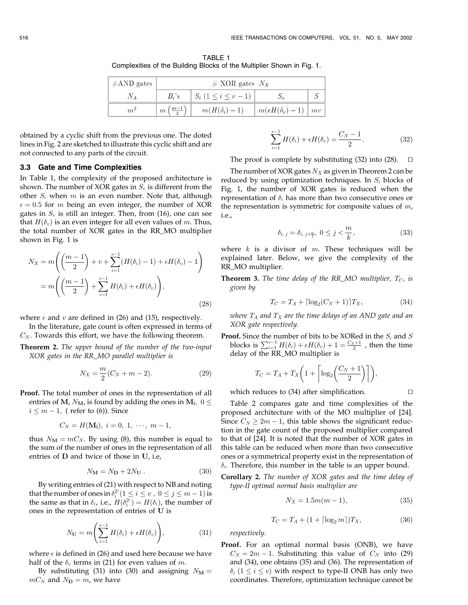TABLE 1 Complexities of the Building Blocks of the Multiplier Shown in Fig. 1.

| $#AND$ gates | # XOR gates $N_X$ |                             |                             |    |  |  |  |  |
|--------------|-------------------|-----------------------------|-----------------------------|----|--|--|--|--|
|              | $B_i$ 's          | $S_i$ $(1 \leq i \leq v-1)$ |                             |    |  |  |  |  |
| m            | $m-1$<br>$\,m$    | $m(H(\delta_i)-1)$          | $m(\epsilon H(\delta_v)-1)$ | mv |  |  |  |  |

obtained by a cyclic shift from the previous one. The doted lines in Fig. 2 are sketched to illustrate this cyclic shift and are not connected to any parts of the circuit.

#### 3.3 Gate and Time Complexities

In Table 1, the complexity of the proposed architecture is shown. The number of XOR gates in  $S_v$  is different from the other  $S_i$  when m is an even number. Note that, although  $\epsilon = 0.5$  for *m* being an even integer, the number of XOR gates in  $S_v$  is still an integer. Then, from (16), one can see that  $H(\delta_v)$  is an even integer for all even values of m. Thus, the total number of XOR gates in the RR\_MO multiplier shown in Fig. 1 is

$$
N_X = m\left(\left(\frac{m-1}{2}\right) + v + \sum_{i=1}^{v-1} (H(\delta_i) - 1) + \epsilon H(\delta_v) - 1\right)
$$
  
= 
$$
m\left(\left(\frac{m-1}{2}\right) + \sum_{i=1}^{v-1} H(\delta_i) + \epsilon H(\delta_v)\right),
$$
 (28)

where  $\epsilon$  and  $v$  are defined in (26) and (15), respectively.

In the literature, gate count is often expressed in terms of  $C_N$ . Towards this effort, we have the following theorem.

Theorem 2. The upper bound of the number of the two-input XOR gates in the RR\_MO parallel multiplier is

$$
N_X = \frac{m}{2}(C_N + m - 2).
$$
 (29)

Proof. The total number of ones in the representation of all entries of M,  $N_M$ , is found by adding the ones in  $M_i$ ,  $0 \leq$ 

 $i \leq m - 1$ , ( refer to (6)). Since

$$
C_N = H(\mathbf{M_i}), i = 0, 1, \cdots, m-1,
$$

thus  $N_M = mC_N$ . By using (8), this number is equal to the sum of the number of ones in the representation of all entries of D and twice of those in U, i.e,

$$
N_{\mathbf{M}} = N_{\mathbf{D}} + 2N_{\mathbf{U}} . \tag{30}
$$

By writing entries of (21) with respect to NB and noting that the number of ones in  $\delta_i^{2^j} (1 \leq i \leq v, 0 \leq j \leq m-1)$  is the same as that in  $\delta_i$ , i.e.,  $H(\delta_i^2) = H(\delta_i)$ , the number of ones in the representation of entries of U is

$$
N_{\mathbf{U}} = m \left( \sum_{i=1}^{v-1} H(\delta_i) + \epsilon H(\delta_v) \right), \tag{31}
$$

where  $\epsilon$  is defined in (26) and used here because we have half of the  $\delta_v$  terms in (21) for even values of m.

By substituting (31) into (30) and assigning  $N_M =$  $mC_N$  and  $N_D = m$ , we have

$$
\sum_{i=1}^{v-1} H(\delta_i) + \epsilon H(\delta_v) = \frac{C_N - 1}{2}.
$$
 (32)

The proof is complete by substituting  $(32)$  into  $(28)$ .

The number of XOR gates  $N_X$  as given in Theorem 2 can be reduced by using optimization techniques. In  $S_i$  blocks of Fig. 1, the number of XOR gates is reduced when the representation of  $\delta_i$  has more than two consecutive ones or the representation is symmetric for composite values of  $m$ , i.e.,

$$
\delta_{i, j} = \delta_{i, j+\frac{m}{k}}, \ 0 \le j < \frac{m}{k}, \tag{33}
$$

where  $k$  is a divisor of  $m$ . These techniques will be explained later. Below, we give the complexity of the RR\_MO multiplier.

**Theorem 3.** The time delay of the RR\_MO multiplier,  $T_C$ , is given by

$$
T_C = T_A + \lceil \log_2(C_N + 1) \rceil T_X,\tag{34}
$$

where  $T_A$  and  $T_X$  are the time delays of an AND gate and an XOR gate respectively.

**Proof.** Since the number of bits to be XORed in the  $S_i$  and S blocks is  $\sum_{i=1}^{v-1} H(\delta_i) + \epsilon H(\delta_v) + 1 = \frac{C_N+1}{2}$  , then the time delay of the RR\_MO multiplier is

$$
T_C = T_A + T_X \bigg( 1 + \bigg\lceil \log_2 \bigg( \frac{C_N + 1}{2} \bigg) \bigg\rceil \bigg),
$$

which reduces to  $(34)$  after simplification.  $\Box$ 

Table 2 compares gate and time complexities of the proposed architecture with of the MO multiplier of [24]. Since  $C_N \geq 2m - 1$ , this table shows the significant reduction in the gate count of the proposed multiplier compared to that of [24]. It is noted that the number of XOR gates in this table can be reduced when more than two consecutive ones or a symmetrical property exist in the representation of  $\delta_i$ . Therefore, this number in the table is an upper bound.

Corollary 2. The number of XOR gates and the time delay of type-II optimal normal basis multiplier are

$$
N_X = 1.5m(m - 1),
$$
\n(35)

$$
T_C = T_A + (1 + \lceil \log_2 m \rceil) T_X,\tag{36}
$$

respectively.

Proof. For an optimal normal basis (ONB), we have  $C_N = 2m - 1$ . Substituting this value of  $C_N$  into (29) and (34), one obtains (35) and (36). The representation of  $\delta_i$  ( $1 \leq i \leq v$ ) with respect to type-II ONB has only two coordinates. Therefore, optimization technique cannot be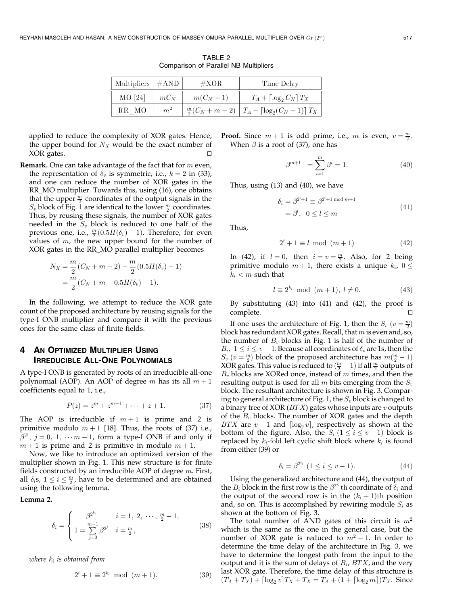| Multipliers $\vert \#AND \vert$ |                | $\#XOR$    | Time Delay                                                  |  |  |
|---------------------------------|----------------|------------|-------------------------------------------------------------|--|--|
| $MO$ [24]                       | $mC_N$         | $m(C_N-1)$ | $T_A + \left[\log_2 C_N\right]T_X$                          |  |  |
| RR MO                           | m <sup>2</sup> |            | $\frac{m}{2}(C_N+m-2)\mid T_A+\lceil \log_2(C_N+1)\rceil T$ |  |  |

TABLE 2 Comparison of Parallel NB Multipliers

applied to reduce the complexity of XOR gates. Hence, the upper bound for  $N_X$  would be the exact number of XOR gates.

**Remark.** One can take advantage of the fact that for  $m$  even, the representation of  $\delta_v$  is symmetric, i.e.,  $k = 2$  in (33), and one can reduce the number of XOR gates in the RR\_MO multiplier. Towards this, using (16), one obtains that the upper  $\frac{m}{2}$  coordinates of the output signals in the  $S_v$  block of Fig. 1 are identical to the lower  $\frac{m}{2}$  coordinates. Thus, by reusing these signals, the number of XOR gates needed in the  $S_v$  block is reduced to one half of the previous one, i.e.,  $\frac{m}{2}(0.5H(\delta_v)-1)$ . Therefore, for even values of  $m$ , the new upper bound for the number of XOR gates in the RR\_MO parallel multiplier becomes

$$
N_X = \frac{m}{2}(C_N + m - 2) - \frac{m}{2}(0.5H(\delta_v) - 1)
$$
  
= 
$$
\frac{m}{2}(C_N + m - 0.5H(\delta_v) - 1).
$$

In the following, we attempt to reduce the XOR gate count of the proposed architecture by reusing signals for the type-I ONB multiplier and compare it with the previous ones for the same class of finite fields.

# 4 AN OPTIMIZED MULTIPLIER USING IRREDUCIBLE ALL-ONE POLYNOMIALS

A type-I ONB is generated by roots of an irreducible all-one polynomial (AOP). An AOP of degree m has its all  $m + 1$ coefficients equal to 1, i.e.,

$$
P(z) = zm + zm-1 + \dots + z + 1.
$$
 (37)

The AOP is irreducible if  $m+1$  is prime and 2 is primitive modulo  $m + 1$  [18]. Thus, the roots of (37) i.e.,  $\hat{\beta}^{2^j}$ ,  $j = 0, 1, \dotsm - 1$ , form a type-I ONB if and only if  $m + 1$  is prime and 2 is primitive in modulo  $m + 1$ .

Now, we like to introduce an optimized version of the multiplier shown in Fig. 1. This new structure is for finite fields constructed by an irreducible AOP of degree  $m$ . First, all  $\delta_i$ s,  $1 \leq i \leq \frac{m}{2}$ , have to be determined and are obtained using the following lemma.

Lemma 2.

$$
\delta_i = \begin{cases}\n\beta^{2^{k_i}} & i = 1, 2, \dots, \frac{m}{2} - 1, \\
1 = \sum_{j=0}^{m-1} \beta^{2^j} & i = \frac{m}{2},\n\end{cases}
$$
\n(38)

where  $k_i$  is obtained from

$$
2^{i} + 1 \equiv 2^{k_i} \mod (m+1). \tag{39}
$$

**Proof.** Since  $m+1$  is odd prime, i.e.,  $m$  is even,  $v = \frac{m}{2}$ . When  $\beta$  is a root of (37), one has

$$
\beta^{m+1} = \sum_{i=1}^{m} \beta^i = 1.
$$
 (40)

Thus, using (13) and (40), we have

$$
\begin{aligned} \delta_i &= \beta^{2^i+1} \equiv \beta^{2^i+1 \bmod m+1} \\ &= \beta^l, \ \ 0 \le l \le m \end{aligned} \tag{41}
$$

Thus,

$$
2^i + 1 \equiv l \mod (m+1) \tag{42}
$$

In (42), if  $l = 0$ , then  $i = v = \frac{m}{2}$ . Also, for 2 being primitive modulo  $m + 1$ , there exists a unique  $k_i$ ,  $0 \leq$  $k_i < m$  such that

$$
l \equiv 2^{k_i} \mod (m+1), \ l \neq 0. \tag{43}
$$

By substituting (43) into (41) and (42), the proof is complete.

If one uses the architecture of Fig. 1, then the  $S_v$   $(v = \frac{m}{2})$ block has redundant XOR gates. Recall, that  $m$  is even and, so, the number of  $B<sub>v</sub>$  blocks in Fig. 1 is half of the number of  $B_i$ ,  $1 \le i \le v - 1$ . Because all coordinates of  $\delta_v$  are 1s, then the  $S_v$   $(v = \frac{m}{2})$  block of the proposed architecture has  $m(\frac{m}{2} - 1)$ XOR gates. This value is reduced to  $(\frac{m}{2} - 1)$  if all  $\frac{m}{2}$  outputs of  $B_v$  blocks are XORed once, instead of  $m$  times, and then the resulting output is used for all  $m$  bits emerging from the  $S_v$ block. The resultant architecture is shown in Fig. 3. Comparing to general architecture of Fig. 1, the  $S_v$  block is changed to a binary tree of XOR  $(BTX)$  gates whose inputs are  $v$  outputs of the  $B_v$  blocks. The number of XOR gates and the depth BTX are  $v - 1$  and  $\lceil \log_2 v \rceil$ , respectively as shown at the bottom of the figure. Also, the  $S_i$   $(1 \le i \le v - 1)$  block is replaced by  $k_i$ -fold left cyclic shift block where  $k_i$  is found from either (39) or

$$
\delta_i = \beta^{2^{k_i}} \ (1 \le i \le v - 1). \tag{44}
$$

Using the generalized architecture and (44), the output of the  $B_i$  block in the first row is the  $\beta^{2^{k_i}}$ th coordinate of  $\delta_i$  and the output of the second row is in the  $(k<sub>i</sub> + 1)$ th position and, so on. This is accomplished by rewiring module  $S_i$  as shown at the bottom of Fig. 3.

The total number of AND gates of this circuit is  $m<sup>2</sup>$ which is the same as the one in the general case, but the number of XOR gate is reduced to  $m^2 - 1$ . In order to determine the time delay of the architecture in Fig. 3, we have to determine the longest path from the input to the output and it is the sum of delays of  $B_i$ ,  $BTX$ , and the very last XOR gate. Therefore, the time delay of this structure is  $(T_A + T_X) + \left[ \log_2 v \right] T_X + T_X = T_A + (1 + \left[ \log_2 m \right]) T_X$ . Since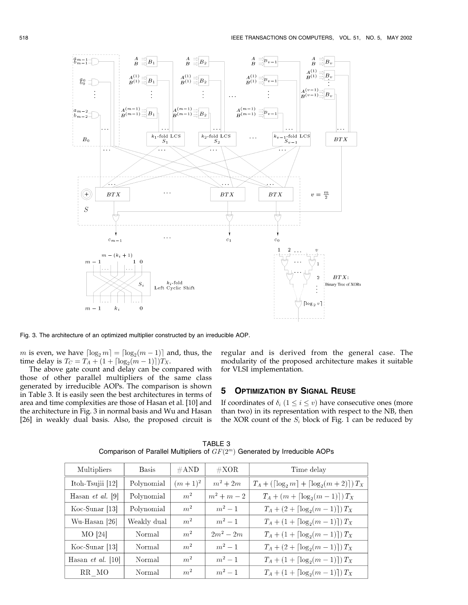

Fig. 3. The architecture of an optimized multiplier constructed by an irreducible AOP.

 $m$  is even, we have  $\lceil \log_2 m \rceil = \lceil \log_2 (m - 1) \rceil$  and, thus, the time delay is  $T_C = T_A + (1 + \lceil \log_2(m - 1) \rceil) T_X$ .

The above gate count and delay can be compared with those of other parallel multipliers of the same class generated by irreducible AOPs. The comparison is shown in Table 3. It is easily seen the best architectures in terms of area and time complexities are those of Hasan et al. [10] and the architecture in Fig. 3 in normal basis and Wu and Hasan [26] in weakly dual basis. Also, the proposed circuit is regular and is derived from the general case. The modularity of the proposed architecture makes it suitable for VLSI implementation.

# **5 OPTIMIZATION BY SIGNAL REUSE**

If coordinates of  $\delta_i$   $(1 \leq i \leq v)$  have consecutive ones (more than two) in its representation with respect to the NB, then the XOR count of the  $S_i$  block of Fig. 1 can be reduced by

| Multipliers              | <b>Basis</b> | $\#\text{AND}$ | $\#\text{XOR}$ | Time delay                                                          |
|--------------------------|--------------|----------------|----------------|---------------------------------------------------------------------|
| Itoh-Tsujii $[12]$       | Polynomial   | $(m+1)^2$      | $m^2+2m$       | $T_A + (\lceil \log_2 m \rceil + \lceil \log_2 (m + 2) \rceil) T_X$ |
| Hasan <i>et al.</i> [9]  | Polynomial   | m <sup>2</sup> | $m^2 + m - 2$  | $T_A + (m + \lceil \log_2(m-1) \rceil) T_X$                         |
| $Koc-Sunar$ [13]         | Polynomial   | m <sup>2</sup> | $m^2-1$        | $T_A + (2 + \lceil \log_2(m-1) \rceil) T_X$                         |
| Wu-Hasan [26]            | Weakly dual  | m <sup>2</sup> | $m^2-1$        | $T_A + (1 + \lceil \log_2(m-1) \rceil) T_X$                         |
| MO [24]                  | Normal       | m <sup>2</sup> | $2m^2 - 2m$    | $T_A + (1 + \lceil \log_2(m-1) \rceil) T_X$                         |
| $Koc-Sunar$ [13]         | Normal       | m <sup>2</sup> | $m^2-1$        | $T_A + (2 + \lceil \log_2(m-1) \rceil) T_X$                         |
| Hasan <i>et al.</i> [10] | Normal       | m <sup>2</sup> | $m^2-1$        | $T_A + (1 + \lceil \log_2(m-1) \rceil) T_X$                         |
| RR MO                    | Normal       | m <sup>2</sup> | $m^2 - 1$      | $T_A + (1 + \lceil \log_2(m-1) \rceil) T_X$                         |

TABLE 3 Comparison of Parallel Multipliers of  $GF(2<sup>m</sup>)$  Generated by Irreducible AOPs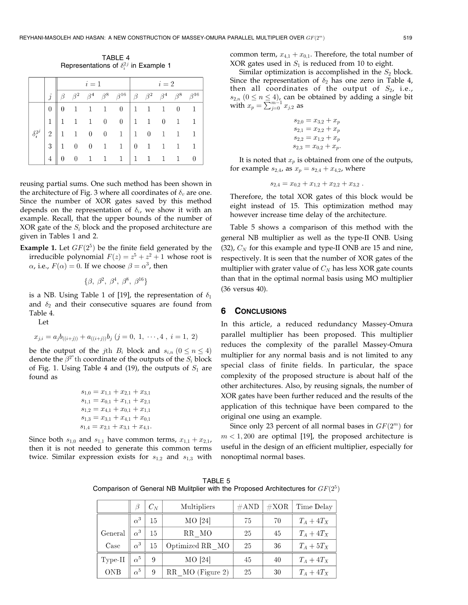TABLE 4 Representations of  $\delta_i^{2j}$  in Example 1

|                  |                |          | $i=1$          |                |  |                                                                                                                       |  | $i=2$          |                |   |                          |
|------------------|----------------|----------|----------------|----------------|--|-----------------------------------------------------------------------------------------------------------------------|--|----------------|----------------|---|--------------------------|
|                  |                |          |                |                |  | $\beta \beta^2 \beta^4 \beta^8 \beta^{16}$ $\beta \beta^2 \beta^4 \beta^8 \beta^{16}$                                 |  |                |                |   |                          |
|                  | $\overline{0}$ |          |                |                |  | $0 \quad 1 \quad 1 \quad 1 \quad 0 \quad 1 \quad 1 \quad 1 \quad 0 \quad 1$                                           |  |                |                |   |                          |
|                  | $\vert$ 1      |          |                |                |  | $\begin{array}{ rrrrrrrr} 1 & 1 & 1 & 0 & 0 & 1 & 1 & 0 & 1 & 1 \\ 1 & 1 & 0 & 0 & 1 & 1 & 0 & 1 & 1 & 1 \end{array}$ |  |                |                |   |                          |
| $\delta_i^{2^j}$ | $\overline{2}$ |          |                |                |  |                                                                                                                       |  |                |                |   |                          |
|                  | 3              |          |                |                |  | $0 \t 0 \t 1 \t 1 \t 0 \t 1 \t 1 \t 1$                                                                                |  |                |                |   |                          |
|                  | $\overline{4}$ | $\theta$ | $\overline{0}$ | $\overline{1}$ |  | $1 \quad 1 \mid 1$                                                                                                    |  | $\overline{1}$ | $\overline{1}$ | 1 | $\overline{\phantom{0}}$ |

reusing partial sums. One such method has been shown in the architecture of Fig. 3 where all coordinates of  $\delta_v$  are one. Since the number of XOR gates saved by this method depends on the representation of  $\delta_i$ , we show it with an example. Recall, that the upper bounds of the number of XOR gate of the  $S_i$  block and the proposed architecture are given in Tables 1 and 2.

**Example 1.** Let  $GF(2^5)$  be the finite field generated by the irreducible polynomial  $F(z) = z^5 + z^2 + 1$  whose root is  $\alpha$ , i.e.,  $F(\alpha) = 0$ . If we choose  $\beta = \alpha^3$ , then

$$
\{\beta, \beta^2, \beta^4, \beta^8, \beta^{16}\}\
$$

is a NB. Using Table 1 of [19], the representation of  $\delta_1$ and  $\delta_2$  and their consecutive squares are found from Table 4.

Let

$$
x_{j,i} = a_j b_{((i+j))} + a_{((i+j))} b_j \ (j=0, 1, \cdots, 4 \ , \ i=1, 2)
$$

be the output of the jth  $B_i$  block and  $s_{i,n}$   $(0 \le n \le 4)$ denote the  $\beta^{2^n}$ th coordinate of the outputs of the  $S_i$  block of Fig. 1. Using Table 4 and (19), the outputs of  $S_1$  are found as

$$
\begin{array}{l} s_{1,0}=x_{1,1}+x_{2,1}+x_{3,1}\\ s_{1,1}=x_{0,1}+x_{1,1}+x_{2,1}\\ s_{1,2}=x_{4,1}+x_{0,1}+x_{1,1}\\ s_{1,3}=x_{3,1}+x_{4,1}+x_{0,1}\\ s_{1,4}=x_{2,1}+x_{3,1}+x_{4,1}. \end{array}
$$

Since both  $s_{1,0}$  and  $s_{1,1}$  have common terms,  $x_{1,1} + x_{2,1}$ , then it is not needed to generate this common terms twice. Similar expression exists for  $s_{1,2}$  and  $s_{1,3}$  with common term,  $x_{4,1} + x_{0,1}$ . Therefore, the total number of XOR gates used in  $S_1$  is reduced from 10 to eight.

Similar optimization is accomplished in the  $S_2$  block. Since the representation of  $\delta_2$  has one zero in Table 4, then all coordinates of the output of  $S_2$ , i.e.,  $s_{2,n}$   $(0 \le n \le 4)$ , can be obtained by adding a single bit with  $x_p = \sum_{j=0}^{m-1} x_{j,2}$  as

$$
s_{2,0} = x_{3,2} + x_p
$$
  
\n
$$
s_{2,1} = x_{2,2} + x_p
$$
  
\n
$$
s_{2,2} = x_{1,2} + x_p
$$
  
\n
$$
s_{2,3} = x_{0,2} + x_p.
$$

It is noted that  $x_p$  is obtained from one of the outputs, for example  $s_{2,4}$ , as  $x_p = s_{2,4} + x_{4,2}$ , where

$$
s_{2,4}=x_{0,2}+x_{1,2}+x_{2,2}+x_{3,2}.
$$

Therefore, the total XOR gates of this block would be eight instead of 15. This optimization method may however increase time delay of the architecture.

Table 5 shows a comparison of this method with the general NB multiplier as well as the type-II ONB. Using (32),  $C_N$  for this example and type-II ONB are 15 and nine, respectively. It is seen that the number of XOR gates of the multiplier with grater value of  $C_N$  has less XOR gate counts than that in the optimal normal basis using MO multiplier (36 versus 40).

## 6 CONCLUSIONS

In this article, a reduced redundancy Massey-Omura parallel multiplier has been proposed. This multiplier reduces the complexity of the parallel Massey-Omura multiplier for any normal basis and is not limited to any special class of finite fields. In particular, the space complexity of the proposed structure is about half of the other architectures. Also, by reusing signals, the number of XOR gates have been further reduced and the results of the application of this technique have been compared to the original one using an example.

Since only 23 percent of all normal bases in  $GF(2<sup>m</sup>)$  for  $m < 1,200$  are optimal [19], the proposed architecture is useful in the design of an efficient multiplier, especially for nonoptimal normal bases.

TABLE 5 Comparison of General NB Mulitplier with the Proposed Architectures for  $GF(2^5)$ 

|            |            | $C_N$ | Multipliers      | $\#\text{AND}$ | $\#\text{XOR}$ | Time Delay   |
|------------|------------|-------|------------------|----------------|----------------|--------------|
|            | $\alpha^3$ | 15    | MO [24]          | 75             | 70             | $T_A+4T_X$   |
| General    | $\alpha^3$ | 15    | RR MO            | 25             | 45             | $T_A + 4T_X$ |
| Case       | $\alpha^3$ | 15    | Optimized RR MO  | 25             | 36             | $T_A+5T_X$   |
| Type-II    | $\alpha^5$ | 9     | MO [24]          | 45             | 40             | $T_A + 4T_X$ |
| <b>ONB</b> | $\alpha^5$ | 9     | RR MO (Figure 2) | 25             | 30             | $T_A+4T_X$   |